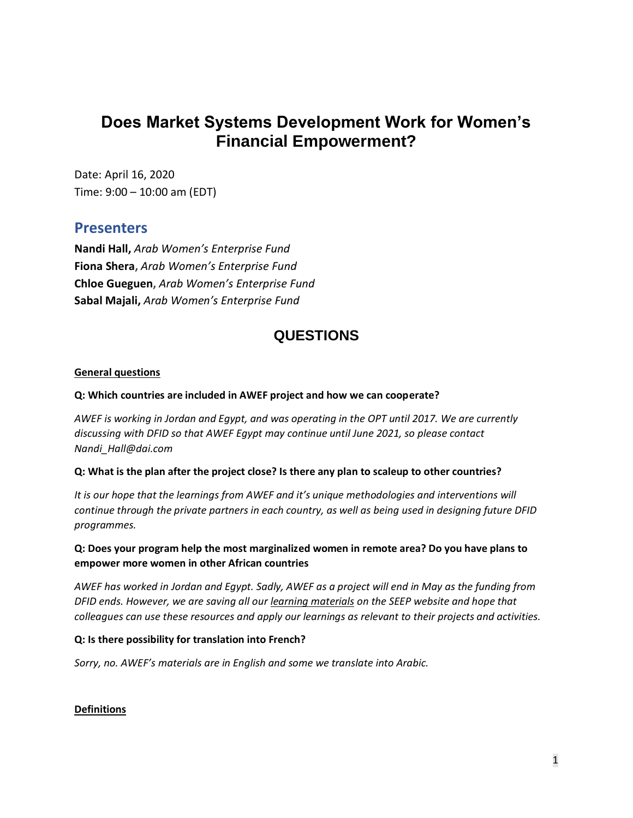# **Does Market Systems Development Work for Women's Financial Empowerment?**

Date: April 16, 2020 Time: 9:00 – 10:00 am (EDT)

## **Presenters**

**Nandi Hall,** *Arab Women's Enterprise Fund* **Fiona Shera,** *Arab Women's Enterprise Fund* **Chloe Gueguen,** *Arab Women's Enterprise Fund* **Sabal Majali,** *Arab Women's Enterprise Fund*

## **QUESTIONS**

## **General questions**

### **Q: Which countries are included in AWEF project and how we can cooperate?**

*AWEF is working in Jordan and Egypt, and was operating in the OPT until 2017. We are currently discussing with DFID so that AWEF Egypt may continue until June 2021, so please contact Nandi\_Hall@dai.com*

#### **Q: What is the plan after the project close? Is there any plan to scaleup to other countries?**

*It is our hope that the learnings from AWEF and it's unique methodologies and interventions will continue through the private partners in each country, as well as being used in designing future DFID programmes.*

## **Q: Does your program help the most marginalized women in remote area? Do you have plans to empower more women in other African countries**

*AWEF has worked in Jordan and Egypt. Sadly, AWEF as a project will end in May as the funding from DFID ends. However, we are saving all ou[r learning materials](https://seepnetwork.org/AWEF-Learning-Series) on the SEEP website and hope that colleagues can use these resources and apply our learnings as relevant to their projects and activities.* 

## **Q: Is there possibility for translation into French?**

*Sorry, no. AWEF's materials are in English and some we translate into Arabic.* 

## **Definitions**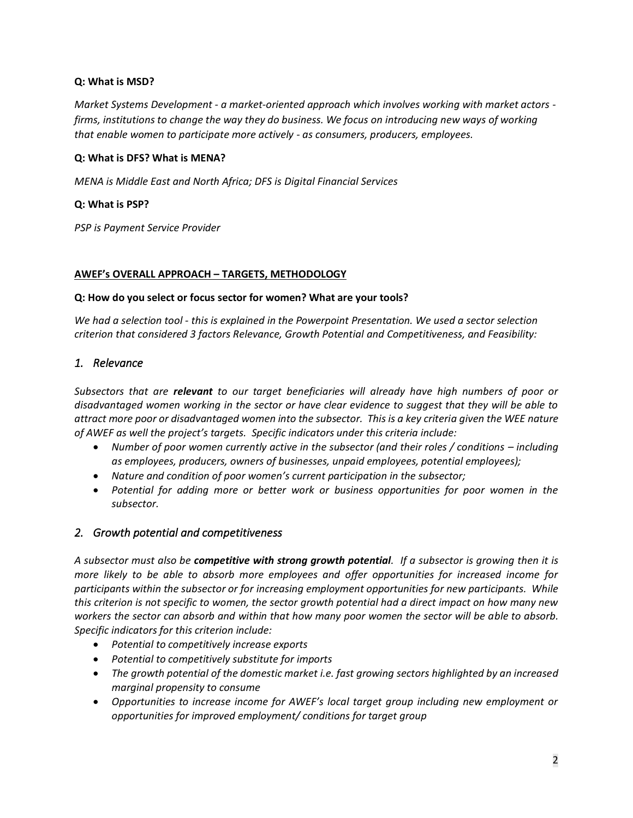### **Q: What is MSD?**

*Market Systems Development - a market-oriented approach which involves working with market actors firms, institutions to change the way they do business. We focus on introducing new ways of working that enable women to participate more actively - as consumers, producers, employees.*

### **Q: What is DFS? What is MENA?**

*MENA is Middle East and North Africa; DFS is Digital Financial Services*

### **Q: What is PSP?**

*PSP is Payment Service Provider*

#### **AWEF's OVERALL APPROACH – TARGETS, METHODOLOGY**

#### **Q: How do you select or focus sector for women? What are your tools?**

*We had a selection tool - this is explained in the Powerpoint Presentation. We used a sector selection criterion that considered 3 factors Relevance, Growth Potential and Competitiveness, and Feasibility:* 

## *1. Relevance*

*Subsectors that are relevant to our target beneficiaries will already have high numbers of poor or disadvantaged women working in the sector or have clear evidence to suggest that they will be able to attract more poor or disadvantaged women into the subsector. This is a key criteria given the WEE nature of AWEF as well the project's targets. Specific indicators under this criteria include:*

- Number of poor women currently active in the subsector (and their roles / conditions including *as employees, producers, owners of businesses, unpaid employees, potential employees);*
- *Nature and condition of poor women's current participation in the subsector;*
- *Potential for adding more or better work or business opportunities for poor women in the subsector.*

## *2. Growth potential and competitiveness*

*A subsector must also be competitive with strong growth potential. If a subsector is growing then it is more likely to be able to absorb more employees and offer opportunities for increased income for participants within the subsector or for increasing employment opportunities for new participants. While this criterion is not specific to women, the sector growth potential had a direct impact on how many new workers the sector can absorb and within that how many poor women the sector will be able to absorb. Specific indicators for this criterion include:*

- *Potential to competitively increase exports*
- *Potential to competitively substitute for imports*
- *The growth potential of the domestic market i.e. fast growing sectors highlighted by an increased marginal propensity to consume*
- *Opportunities to increase income for AWEF's local target group including new employment or opportunities for improved employment/ conditions for target group*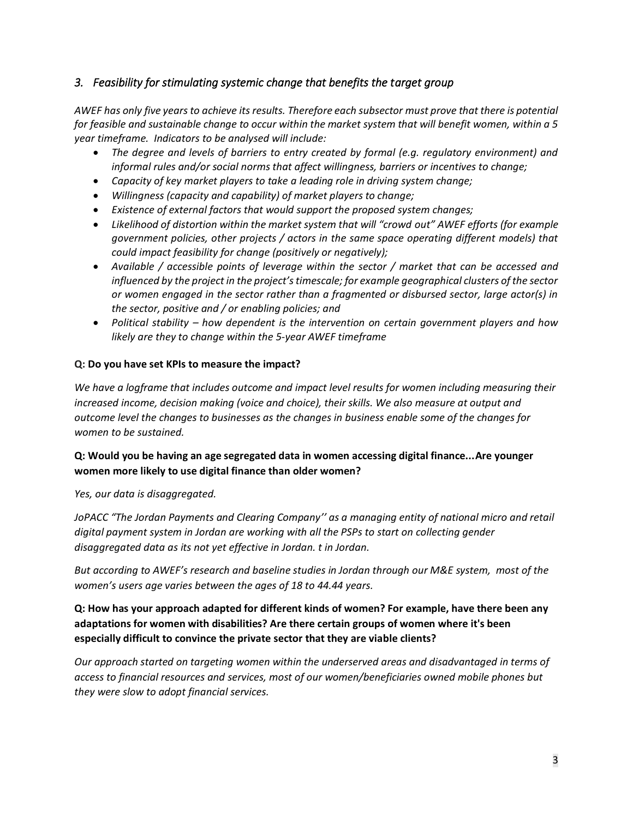## *3. Feasibility for stimulating systemic change that benefits the target group*

*AWEF has only five years to achieve its results. Therefore each subsector must prove that there is potential for feasible and sustainable change to occur within the market system that will benefit women, within a 5 year timeframe. Indicators to be analysed will include:*

- *The degree and levels of barriers to entry created by formal (e.g. regulatory environment) and informal rules and/or social norms that affect willingness, barriers or incentives to change;*
- *Capacity of key market players to take a leading role in driving system change;*
- *Willingness (capacity and capability) of market players to change;*
- *Existence of external factors that would support the proposed system changes;*
- *Likelihood of distortion within the market system that will "crowd out" AWEF efforts (for example government policies, other projects / actors in the same space operating different models) that could impact feasibility for change (positively or negatively);*
- *Available / accessible points of leverage within the sector / market that can be accessed and influenced by the project in the project's timescale; for example geographical clusters of the sector or women engaged in the sector rather than a fragmented or disbursed sector, large actor(s) in the sector, positive and / or enabling policies; and*
- *Political stability – how dependent is the intervention on certain government players and how likely are they to change within the 5-year AWEF timeframe*

### **Q: Do you have set KPIs to measure the impact?**

*We have a logframe that includes outcome and impact level results for women including measuring their*  increased income, decision making (voice and choice), their skills. We also measure at output and *outcome level the changes to businesses as the changes in business enable some of the changes for women to be sustained.* 

## **Q: Would you be having an age segregated data in women accessing digital finance...Are younger women more likely to use digital finance than older women?**

*Yes, our data is disaggregated.*

*JoPACC "The Jordan Payments and Clearing Company'' as a managing entity of national micro and retail digital payment system in Jordan are working with all the PSPs to start on collecting gender disaggregated data as its not yet effective in Jordan. t in Jordan.* 

*But according to AWEF's research and baseline studies in Jordan through our M&E system, most of the women's users age varies between the ages of 18 to 44.44 years.*

## **Q: How has your approach adapted for different kinds of women? For example, have there been any adaptations for women with disabilities? Are there certain groups of women where it's been especially difficult to convince the private sector that they are viable clients?**

*Our approach started on targeting women within the underserved areas and disadvantaged in terms of access to financial resources and services, most of our women/beneficiaries owned mobile phones but they were slow to adopt financial services.*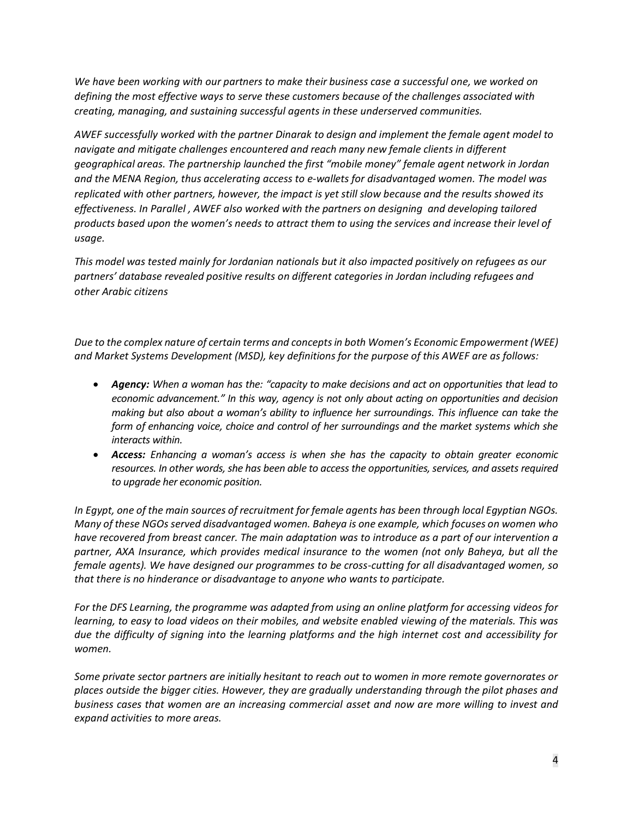*We have been working with our partners to make their business case a successful one, we worked on defining the most effective ways to serve these customers because of the challenges associated with creating, managing, and sustaining successful agents in these underserved communities.* 

*AWEF successfully worked with the partner Dinarak to design and implement the female agent model to navigate and mitigate challenges encountered and reach many new female clients in different geographical areas. The partnership launched the first "mobile money" female agent network in Jordan and the MENA Region, thus accelerating access to e-wallets for disadvantaged women. The model was replicated with other partners, however, the impact is yet still slow because and the results showed its effectiveness. In Parallel , AWEF also worked with the partners on designing and developing tailored products based upon the women's needs to attract them to using the services and increase their level of usage.*

*This model was tested mainly for Jordanian nationals but it also impacted positively on refugees as our partners' database revealed positive results on different categories in Jordan including refugees and other Arabic citizens*

*Due to the complex nature of certain terms and concepts in both Women's Economic Empowerment (WEE) and Market Systems Development (MSD), key definitions for the purpose of this AWEF are as follows:*

- *Agency: When a woman has the: "capacity to make decisions and act on opportunities that lead to economic advancement." In this way, agency is not only about acting on opportunities and decision making but also about a woman's ability to influence her surroundings. This influence can take the form of enhancing voice, choice and control of her surroundings and the market systems which she interacts within.*
- *Access: Enhancing a woman's access is when she has the capacity to obtain greater economic resources. In other words, she has been able to access the opportunities, services, and assets required to upgrade her economic position.*

*In Egypt, one of the main sources of recruitment for female agents has been through local Egyptian NGOs. Many of these NGOs served disadvantaged women. Baheya is one example, which focuses on women who have recovered from breast cancer. The main adaptation was to introduce as a part of our intervention a partner, AXA Insurance, which provides medical insurance to the women (not only Baheya, but all the female agents). We have designed our programmes to be cross-cutting for all disadvantaged women, so that there is no hinderance or disadvantage to anyone who wants to participate.*

*For the DFS Learning, the programme was adapted from using an online platform for accessing videos for learning, to easy to load videos on their mobiles, and website enabled viewing of the materials. This was due the difficulty of signing into the learning platforms and the high internet cost and accessibility for women.*

*Some private sector partners are initially hesitant to reach out to women in more remote governorates or places outside the bigger cities. However, they are gradually understanding through the pilot phases and business cases that women are an increasing commercial asset and now are more willing to invest and expand activities to more areas.*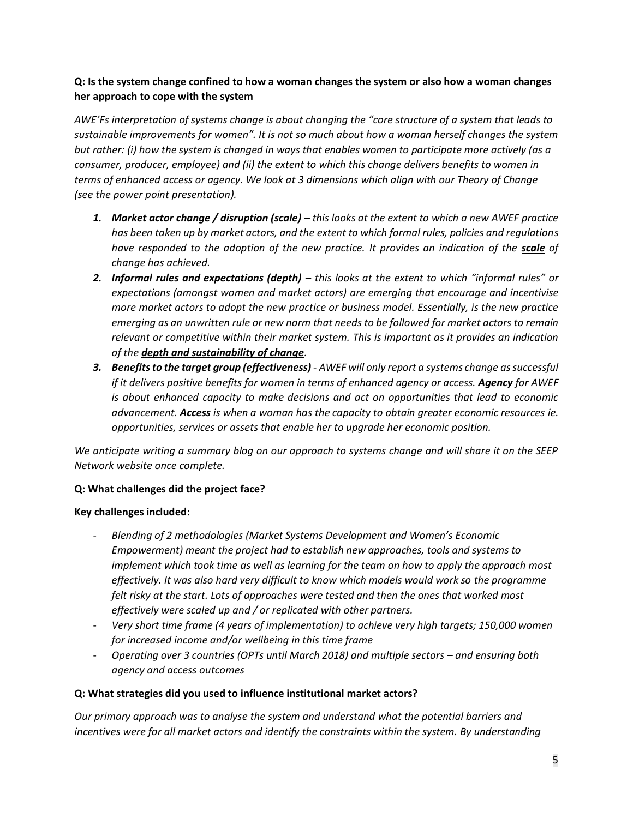## **Q: Is the system change confined to how a woman changes the system or also how a woman changes her approach to cope with the system**

*AWE'Fs interpretation of systems change is about changing the "core structure of a system that leads to sustainable improvements for women". It is not so much about how a woman herself changes the system but rather: (i) how the system is changed in ways that enables women to participate more actively (as a consumer, producer, employee) and (ii) the extent to which this change delivers benefits to women in terms of enhanced access or agency. We look at 3 dimensions which align with our Theory of Change (see the power point presentation).*

- *1. Market actor change / disruption (scale) – this looks at the extent to which a new AWEF practice has been taken up by market actors, and the extent to which formal rules, policies and regulations have responded to the adoption of the new practice. It provides an indication of the scale of change has achieved.*
- *2. Informal rules and expectations (depth) – this looks at the extent to which "informal rules" or expectations (amongst women and market actors) are emerging that encourage and incentivise more market actors to adopt the new practice or business model. Essentially, is the new practice emerging as an unwritten rule or new norm that needs to be followed for market actors to remain relevant or competitive within their market system. This is important as it provides an indication of the depth and sustainability of change.*
- *3. Benefits to the target group (effectiveness) - AWEF will only report a systems change as successful if it delivers positive benefits for women in terms of enhanced agency or access. Agency for AWEF is about enhanced capacity to make decisions and act on opportunities that lead to economic advancement. Access is when a woman has the capacity to obtain greater economic resources ie. opportunities, services or assets that enable her to upgrade her economic position.*

*We anticipate writing a summary blog on our approach to systems change and will share it on the SEEP Network [website](https://seepnetwork.org/AWEF-Learning-Series) once complete.*

## **Q: What challenges did the project face?**

## **Key challenges included:**

- *Blending of 2 methodologies (Market Systems Development and Women's Economic Empowerment) meant the project had to establish new approaches, tools and systems to implement which took time as well as learning for the team on how to apply the approach most effectively. It was also hard very difficult to know which models would work so the programme felt risky at the start. Lots of approaches were tested and then the ones that worked most effectively were scaled up and / or replicated with other partners.*
- *Very short time frame (4 years of implementation) to achieve very high targets; 150,000 women for increased income and/or wellbeing in this time frame*
- *Operating over 3 countries (OPTs until March 2018) and multiple sectors – and ensuring both agency and access outcomes*

## **Q: What strategies did you used to influence institutional market actors?**

*Our primary approach was to analyse the system and understand what the potential barriers and incentives were for all market actors and identify the constraints within the system. By understanding*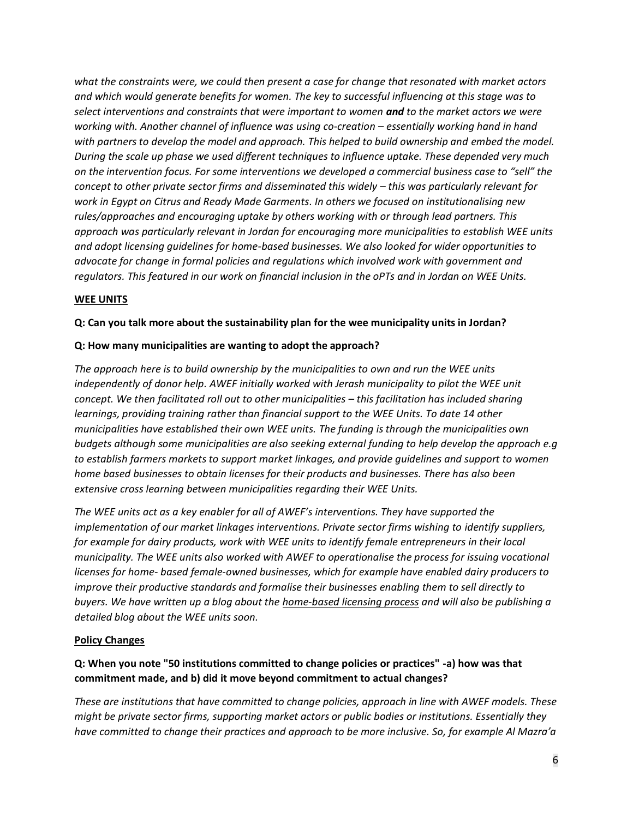*what the constraints were, we could then present a case for change that resonated with market actors and which would generate benefits for women. The key to successful influencing at this stage was to select interventions and constraints that were important to women and to the market actors we were working with. Another channel of influence was using co-creation – essentially working hand in hand with partners to develop the model and approach. This helped to build ownership and embed the model. During the scale up phase we used different techniques to influence uptake. These depended very much on the intervention focus. For some interventions we developed a commercial business case to "sell" the concept to other private sector firms and disseminated this widely – this was particularly relevant for work in Egypt on Citrus and Ready Made Garments. In others we focused on institutionalising new rules/approaches and encouraging uptake by others working with or through lead partners. This approach was particularly relevant in Jordan for encouraging more municipalities to establish WEE units and adopt licensing guidelines for home-based businesses. We also looked for wider opportunities to advocate for change in formal policies and regulations which involved work with government and regulators. This featured in our work on financial inclusion in the oPTs and in Jordan on WEE Units.* 

## **WEE UNITS**

### **Q: Can you talk more about the sustainability plan for the wee municipality units in Jordan?**

#### **Q: How many municipalities are wanting to adopt the approach?**

*The approach here is to build ownership by the municipalities to own and run the WEE units* independently of donor help. AWEF initially worked with Jerash municipality to pilot the WEE unit *concept. We then facilitated roll out to other municipalities – this facilitation has included sharing learnings, providing training rather than financial support to the WEE Units. To date 14 other municipalities have established their own WEE units. The funding is through the municipalities own budgets although some municipalities are also seeking external funding to help develop the approach e.g to establish farmers markets to support market linkages, and provide guidelines and support to women home based businesses to obtain licenses for their products and businesses. There has also been extensive cross learning between municipalities regarding their WEE Units.*

*The WEE units act as a key enabler for all of AWEF's interventions. They have supported the implementation of our market linkages interventions. Private sector firms wishing to identify suppliers, for example for dairy products, work with WEE units to identify female entrepreneurs in their local municipality. The WEE units also worked with AWEF to operationalise the process for issuing vocational licenses for home- based female-owned businesses, which for example have enabled dairy producers to improve their productive standards and formalise their businesses enabling them to sell directly to buyers. We have written up a blog about the [home-based licensing process](https://seepnetwork.org/Blog-Post/Discovering-A-Route-to-Formalize-Women-Owned-Businesses-in-Jordan) and will also be publishing a detailed blog about the WEE units soon.*

#### **Policy Changes**

## **Q: When you note "50 institutions committed to change policies or practices" -a) how was that commitment made, and b) did it move beyond commitment to actual changes?**

*These are institutions that have committed to change policies, approach in line with AWEF models. These might be private sector firms, supporting market actors or public bodies or institutions. Essentially they have committed to change their practices and approach to be more inclusive. So, for example Al Mazra'a*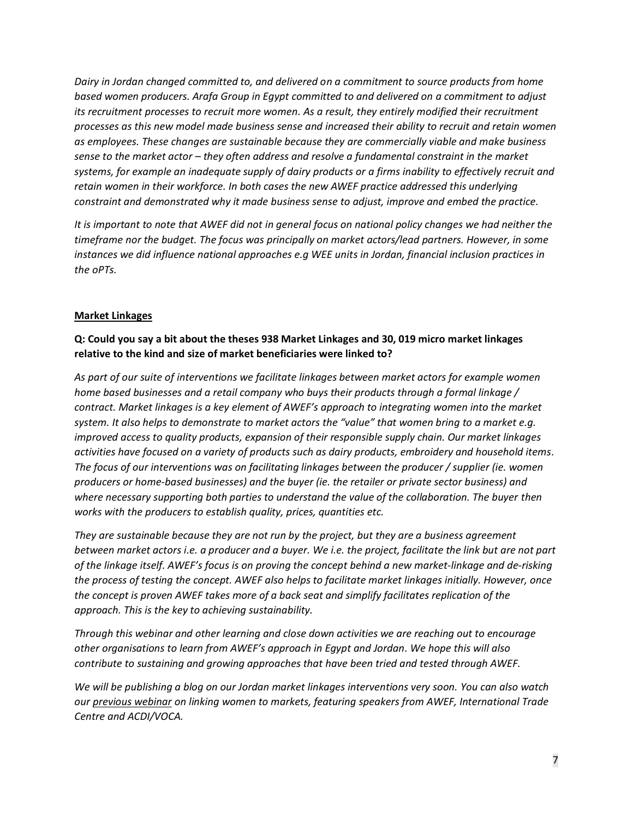*Dairy in Jordan changed committed to, and delivered on a commitment to source products from home based women producers. Arafa Group in Egypt committed to and delivered on a commitment to adjust its recruitment processes to recruit more women. As a result, they entirely modified their recruitment processes as this new model made business sense and increased their ability to recruit and retain women as employees. These changes are sustainable because they are commercially viable and make business sense to the market actor – they often address and resolve a fundamental constraint in the market systems, for example an inadequate supply of dairy products or a firms inability to effectively recruit and retain women in their workforce. In both cases the new AWEF practice addressed this underlying constraint and demonstrated why it made business sense to adjust, improve and embed the practice.* 

*It is important to note that AWEF did not in general focus on national policy changes we had neither the timeframe nor the budget. The focus was principally on market actors/lead partners. However, in some instances we did influence national approaches e.g WEE units in Jordan, financial inclusion practices in the oPTs.* 

## **Market Linkages**

## **Q: Could you say a bit about the theses 938 Market Linkages and 30, 019 micro market linkages relative to the kind and size of market beneficiaries were linked to?**

*As part of our suite of interventions we facilitate linkages between market actors for example women home based businesses and a retail company who buys their products through a formal linkage / contract. Market linkages is a key element of AWEF's approach to integrating women into the market system. It also helps to demonstrate to market actors the "value" that women bring to a market e.g. improved access to quality products, expansion of their responsible supply chain. Our market linkages activities have focused on a variety of products such as dairy products, embroidery and household items. The focus of our interventions was on facilitating linkages between the producer / supplier (ie. women producers or home-based businesses) and the buyer (ie. the retailer or private sector business) and where necessary supporting both parties to understand the value of the collaboration. The buyer then works with the producers to establish quality, prices, quantities etc.* 

*They are sustainable because they are not run by the project, but they are a business agreement between market actors i.e. a producer and a buyer. We i.e. the project, facilitate the link but are not part of the linkage itself. AWEF's focus is on proving the concept behind a new market-linkage and de-risking the process of testing the concept. AWEF also helps to facilitate market linkages initially. However, once the concept is proven AWEF takes more of a back seat and simplify facilitates replication of the approach. This is the key to achieving sustainability.* 

*Through this webinar and other learning and close down activities we are reaching out to encourage other organisations to learn from AWEF's approach in Egypt and Jordan. We hope this will also contribute to sustaining and growing approaches that have been tried and tested through AWEF.* 

*We will be publishing a blog on our Jordan market linkages interventions very soon. You can also watch ou[r previous webinar](https://seepnetwork.org/Webinar-Post/Linking-Women-to-Markets-A-Closer-Look-at-Womens-Market-Readiness) on linking women to markets, featuring speakers from AWEF, International Trade Centre and ACDI/VOCA.*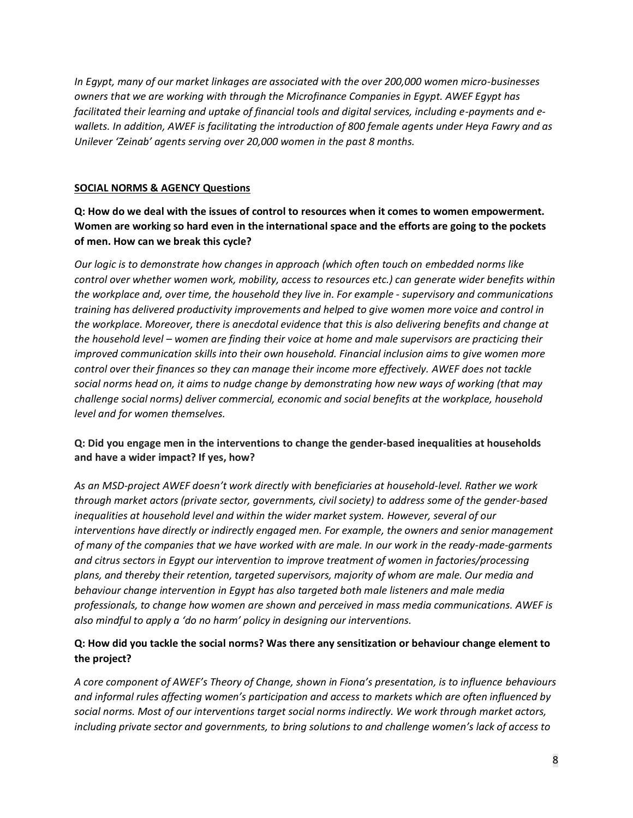*In Egypt, many of our market linkages are associated with the over 200,000 women micro-businesses owners that we are working with through the Microfinance Companies in Egypt. AWEF Egypt has facilitated their learning and uptake of financial tools and digital services, including e-payments and ewallets. In addition, AWEF is facilitating the introduction of 800 female agents under Heya Fawry and as Unilever 'Zeinab' agents serving over 20,000 women in the past 8 months.*

### **SOCIAL NORMS & AGENCY Questions**

**Q: How do we deal with the issues of control to resources when it comes to women empowerment. Women are working so hard even in the international space and the efforts are going to the pockets of men. How can we break this cycle?**

*Our logic is to demonstrate how changes in approach (which often touch on embedded norms like control over whether women work, mobility, access to resources etc.) can generate wider benefits within the workplace and, over time, the household they live in. For example - supervisory and communications training has delivered productivity improvements and helped to give women more voice and control in the workplace. Moreover, there is anecdotal evidence that this is also delivering benefits and change at the household level – women are finding their voice at home and male supervisors are practicing their improved communication skills into their own household. Financial inclusion aims to give women more control over their finances so they can manage their income more effectively. AWEF does not tackle social norms head on, it aims to nudge change by demonstrating how new ways of working (that may challenge social norms) deliver commercial, economic and social benefits at the workplace, household level and for women themselves.* 

## **Q: Did you engage men in the interventions to change the gender-based inequalities at households and have a wider impact? If yes, how?**

*As an MSD-project AWEF doesn't work directly with beneficiaries at household-level. Rather we work through market actors (private sector, governments, civil society) to address some of the gender-based inequalities at household level and within the wider market system. However, several of our interventions have directly or indirectly engaged men. For example, the owners and senior management of many of the companies that we have worked with are male. In our work in the ready-made-garments and citrus sectors in Egypt our intervention to improve treatment of women in factories/processing plans, and thereby their retention, targeted supervisors, majority of whom are male. Our media and behaviour change intervention in Egypt has also targeted both male listeners and male media professionals, to change how women are shown and perceived in mass media communications. AWEF is also mindful to apply a 'do no harm' policy in designing our interventions.*

## **Q: How did you tackle the social norms? Was there any sensitization or behaviour change element to the project?**

A core component of AWEF's Theory of Change, shown in Fiona's presentation, is to influence behaviours *and informal rules affecting women's participation and access to markets which are often influenced by social norms. Most of our interventions target social norms indirectly. We work through market actors, including private sector and governments, to bring solutions to and challenge women's lack of access to*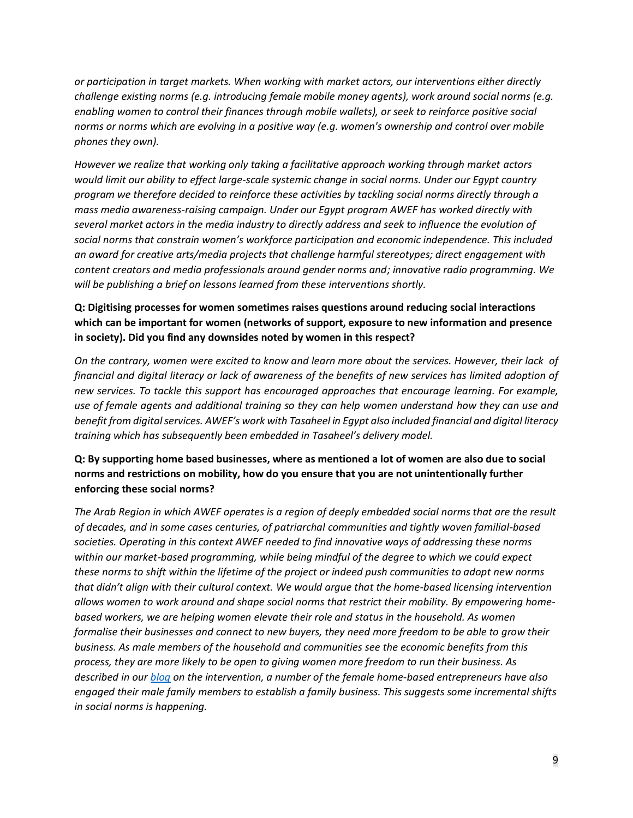*or participation in target markets. When working with market actors, our interventions either directly challenge existing norms (e.g. introducing female mobile money agents), work around social norms (e.g. enabling women to control their finances through mobile wallets), or seek to reinforce positive social norms or norms which are evolving in a positive way (e.g. women's ownership and control over mobile phones they own).* 

*However we realize that working only taking a facilitative approach working through market actors would limit our ability to effect large-scale systemic change in social norms. Under our Egypt country program we therefore decided to reinforce these activities by tackling social norms directly through a mass media awareness-raising campaign. Under our Egypt program AWEF has worked directly with several market actors in the media industry to directly address and seek to influence the evolution of social norms that constrain women's workforce participation and economic independence. This included an award for creative arts/media projects that challenge harmful stereotypes; direct engagement with content creators and media professionals around gender norms and; innovative radio programming. We will be publishing a brief on lessons learned from these interventions shortly.*

## **Q: Digitising processes for women sometimes raises questions around reducing social interactions which can be important for women (networks of support, exposure to new information and presence in society). Did you find any downsides noted by women in this respect?**

*On the contrary, women were excited to know and learn more about the services. However, their lack of financial and digital literacy or lack of awareness of the benefits of new services has limited adoption of new services. To tackle this support has encouraged approaches that encourage learning. For example, use of female agents and additional training so they can help women understand how they can use and benefit from digital services. AWEF's work with Tasaheel in Egypt also included financial and digital literacy training which has subsequently been embedded in Tasaheel's delivery model.* 

## **Q: By supporting home based businesses, where as mentioned a lot of women are also due to social norms and restrictions on mobility, how do you ensure that you are not unintentionally further enforcing these social norms?**

*The Arab Region in which AWEF operates is a region of deeply embedded social norms that are the result of decades, and in some cases centuries, of patriarchal communities and tightly woven familial-based societies. Operating in this context AWEF needed to find innovative ways of addressing these norms within our market-based programming, while being mindful of the degree to which we could expect these norms to shift within the lifetime of the project or indeed push communities to adopt new norms that didn't align with their cultural context. We would argue that the home-based licensing intervention allows women to work around and shape social norms that restrict their mobility. By empowering homebased workers, we are helping women elevate their role and status in the household. As women formalise their businesses and connect to new buyers, they need more freedom to be able to grow their business. As male members of the household and communities see the economic benefits from this process, they are more likely to be open to giving women more freedom to run their business. As described in our [blog](https://seepnetwork.org/Blog-Post/Discovering-A-Route-to-Formalize-Women-Owned-Businesses-in-Jordan) on the intervention, a number of the female home-based entrepreneurs have also engaged their male family members to establish a family business. This suggests some incremental shifts in social norms is happening.*